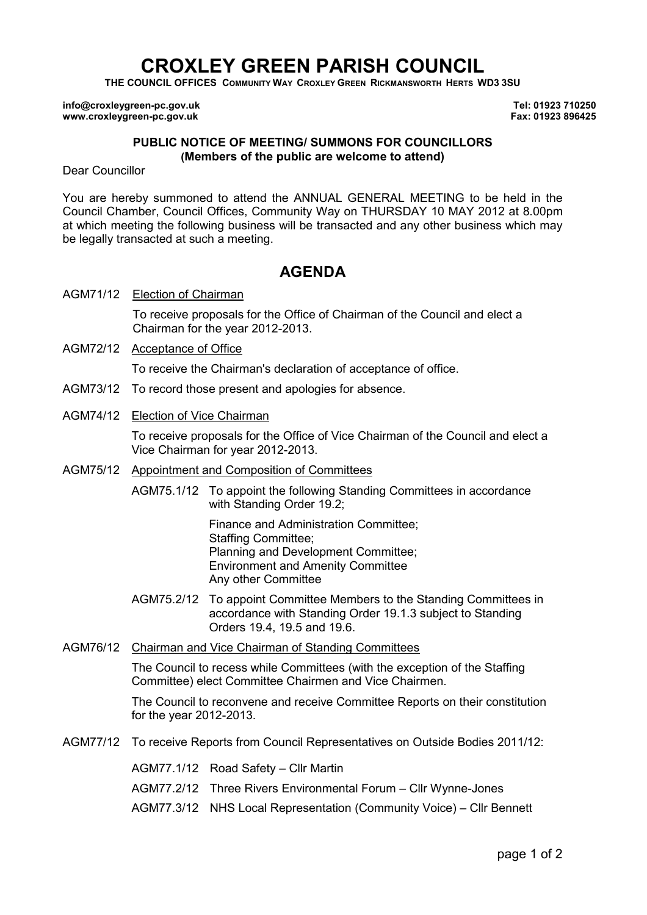# CROXLEY GREEN PARISH COUNCIL

THE COUNCIL OFFICES COMMUNITY WAY CROXLEY GREEN RICKMANSWORTH HERTS WD3 3SU

info@croxleygreen-pc.gov.uk www.croxleygreen-pc.gov.uk

Tel: 01923 710250 Fax: 01923 896425

#### PUBLIC NOTICE OF MEETING/ SUMMONS FOR COUNCILLORS (Members of the public are welcome to attend)

Dear Councillor

You are hereby summoned to attend the ANNUAL GENERAL MEETING to be held in the Council Chamber, Council Offices, Community Way on THURSDAY 10 MAY 2012 at 8.00pm at which meeting the following business will be transacted and any other business which may be legally transacted at such a meeting.

## AGENDA

AGM71/12 Election of Chairman

To receive proposals for the Office of Chairman of the Council and elect a Chairman for the year 2012-2013.

AGM72/12 Acceptance of Office

To receive the Chairman's declaration of acceptance of office.

- AGM73/12 To record those present and apologies for absence.
- AGM74/12 Election of Vice Chairman

To receive proposals for the Office of Vice Chairman of the Council and elect a Vice Chairman for year 2012-2013.

- AGM75/12 Appointment and Composition of Committees
	- AGM75.1/12 To appoint the following Standing Committees in accordance with Standing Order 19.2;

Finance and Administration Committee; Staffing Committee; Planning and Development Committee; Environment and Amenity Committee Any other Committee

- AGM75.2/12 To appoint Committee Members to the Standing Committees in accordance with Standing Order 19.1.3 subject to Standing Orders 19.4, 19.5 and 19.6.
- AGM76/12 Chairman and Vice Chairman of Standing Committees

The Council to recess while Committees (with the exception of the Staffing Committee) elect Committee Chairmen and Vice Chairmen.

The Council to reconvene and receive Committee Reports on their constitution for the year 2012-2013.

- AGM77/12 To receive Reports from Council Representatives on Outside Bodies 2011/12:
	- AGM77.1/12 Road Safety Cllr Martin
	- AGM77.2/12 Three Rivers Environmental Forum Cllr Wynne-Jones
	- AGM77.3/12 NHS Local Representation (Community Voice) Cllr Bennett